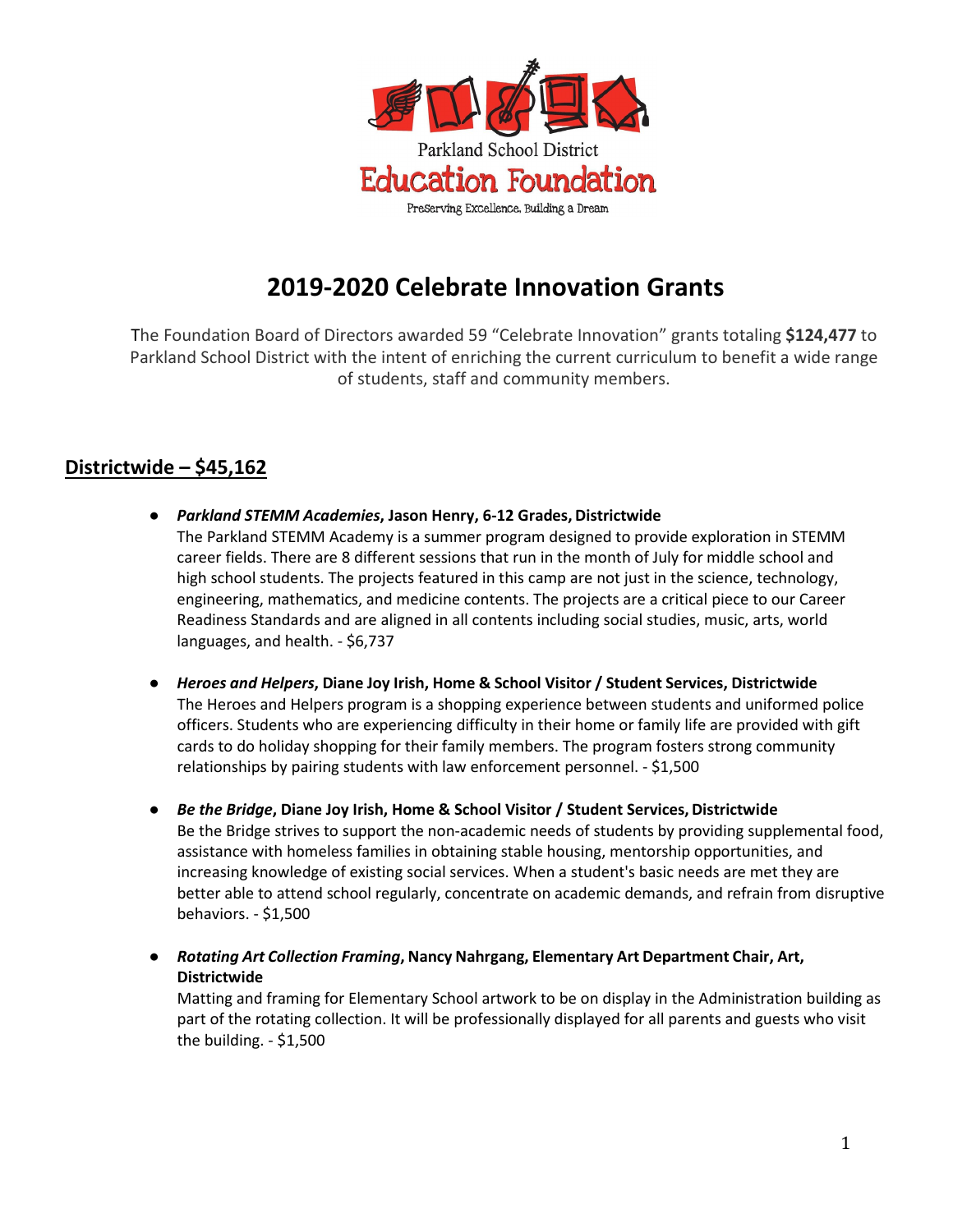

# **2019-2020 Celebrate Innovation Grants**

The Foundation Board of Directors awarded 59 "Celebrate Innovation" grants totaling **\$124,477** to Parkland School District with the intent of enriching the current curriculum to benefit a wide range of students, staff and community members.

# **Districtwide – \$45,162**

- *Parkland STEMM Academies***, Jason Henry, 6-12 Grades, Districtwide** The Parkland STEMM Academy is a summer program designed to provide exploration in STEMM career fields. There are 8 different sessions that run in the month of July for middle school and high school students. The projects featured in this camp are not just in the science, technology, engineering, mathematics, and medicine contents. The projects are a critical piece to our Career Readiness Standards and are aligned in all contents including social studies, music, arts, world languages, and health. - \$6,737
- **●** *Heroes and Helpers***, Diane Joy Irish, Home & School Visitor / Student Services, Districtwide** The Heroes and Helpers program is a shopping experience between students and uniformed police officers. Students who are experiencing difficulty in their home or family life are provided with gift cards to do holiday shopping for their family members. The program fosters strong community relationships by pairing students with law enforcement personnel. - \$1,500
- *Be the Bridge***, Diane Joy Irish, Home & School Visitor / Student Services, Districtwide** Be the Bridge strives to support the non-academic needs of students by providing supplemental food, assistance with homeless families in obtaining stable housing, mentorship opportunities, and increasing knowledge of existing social services. When a student's basic needs are met they are better able to attend school regularly, concentrate on academic demands, and refrain from disruptive behaviors. - \$1,500
- **●** *Rotating Art Collection Framing***, Nancy Nahrgang, Elementary Art Department Chair, Art, Districtwide**

Matting and framing for Elementary School artwork to be on display in the Administration building as part of the rotating collection. It will be professionally displayed for all parents and guests who visit the building. - \$1,500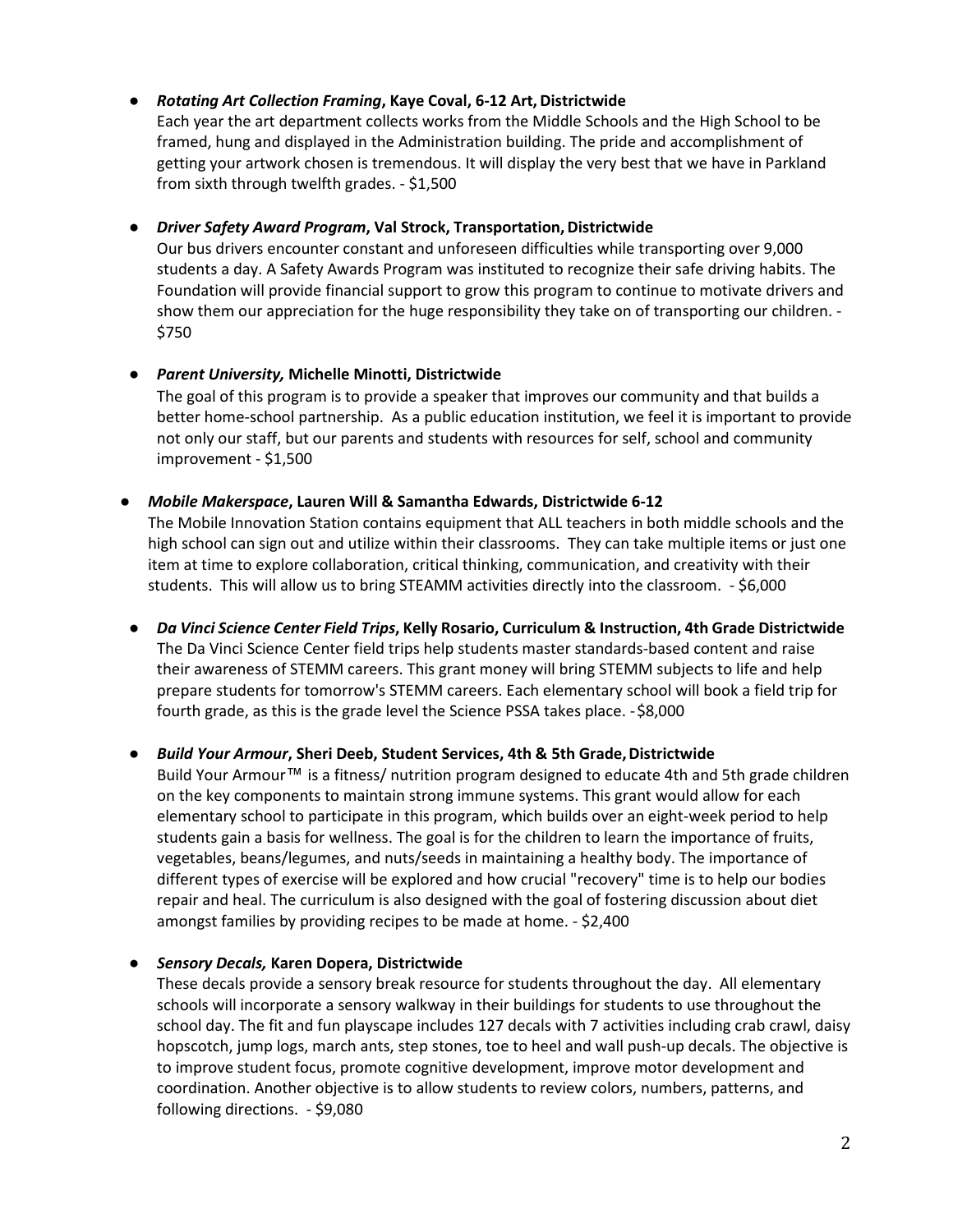# **●** *Rotating Art Collection Framing***, Kaye Coval, 6-12 Art, Districtwide**

Each year the art department collects works from the Middle Schools and the High School to be framed, hung and displayed in the Administration building. The pride and accomplishment of getting your artwork chosen is tremendous. It will display the very best that we have in Parkland from sixth through twelfth grades. - \$1,500

# **•** *Driver Safety Award Program*, Val Strock, Transportation, Districtwide

Our bus drivers encounter constant and unforeseen difficulties while transporting over 9,000 students a day. A Safety Awards Program was instituted to recognize their safe driving habits. The Foundation will provide financial support to grow this program to continue to motivate drivers and show them our appreciation for the huge responsibility they take on of transporting our children. - \$750

### *● Parent University,* **Michelle Minotti, Districtwide**

The goal of this program is to provide a speaker that improves our community and that builds a better home-school partnership. As a public education institution, we feel it is important to provide not only our staff, but our parents and students with resources for self, school and community improvement - \$1,500

### **●** *Mobile Makerspace***, Lauren Will & Samantha Edwards, Districtwide 6-12**

The Mobile Innovation Station contains equipment that ALL teachers in both middle schools and the high school can sign out and utilize within their classrooms. They can take multiple items or just one item at time to explore collaboration, critical thinking, communication, and creativity with their students. This will allow us to bring STEAMM activities directly into the classroom. - \$6,000

**●** *Da Vinci Science Center Field Trips***, Kelly Rosario, Curriculum & Instruction, 4th Grade Districtwide**  The Da Vinci Science Center field trips help students master standards-based content and raise their awareness of STEMM careers. This grant money will bring STEMM subjects to life and help prepare students for tomorrow's STEMM careers. Each elementary school will book a field trip for fourth grade, as this is the grade level the Science PSSA takes place. - \$8,000

# **●** *Build Your Armour***, Sheri Deeb, Student Services, 4th & 5th Grade,Districtwide**

Build Your Armour™ is a fitness/ nutrition program designed to educate 4th and 5th grade children on the key components to maintain strong immune systems. This grant would allow for each elementary school to participate in this program, which builds over an eight-week period to help students gain a basis for wellness. The goal is for the children to learn the importance of fruits, vegetables, beans/legumes, and nuts/seeds in maintaining a healthy body. The importance of different types of exercise will be explored and how crucial "recovery" time is to help our bodies repair and heal. The curriculum is also designed with the goal of fostering discussion about diet amongst families by providing recipes to be made at home. - \$2,400

# **●** *Sensory Decals,* **Karen Dopera, Districtwide**

These decals provide a sensory break resource for students throughout the day. All elementary schools will incorporate a sensory walkway in their buildings for students to use throughout the school day. The fit and fun playscape includes 127 decals with 7 activities including crab crawl, daisy hopscotch, jump logs, march ants, step stones, toe to heel and wall push-up decals. The objective is to improve student focus, promote cognitive development, improve motor development and coordination. Another objective is to allow students to review colors, numbers, patterns, and following directions. - \$9,080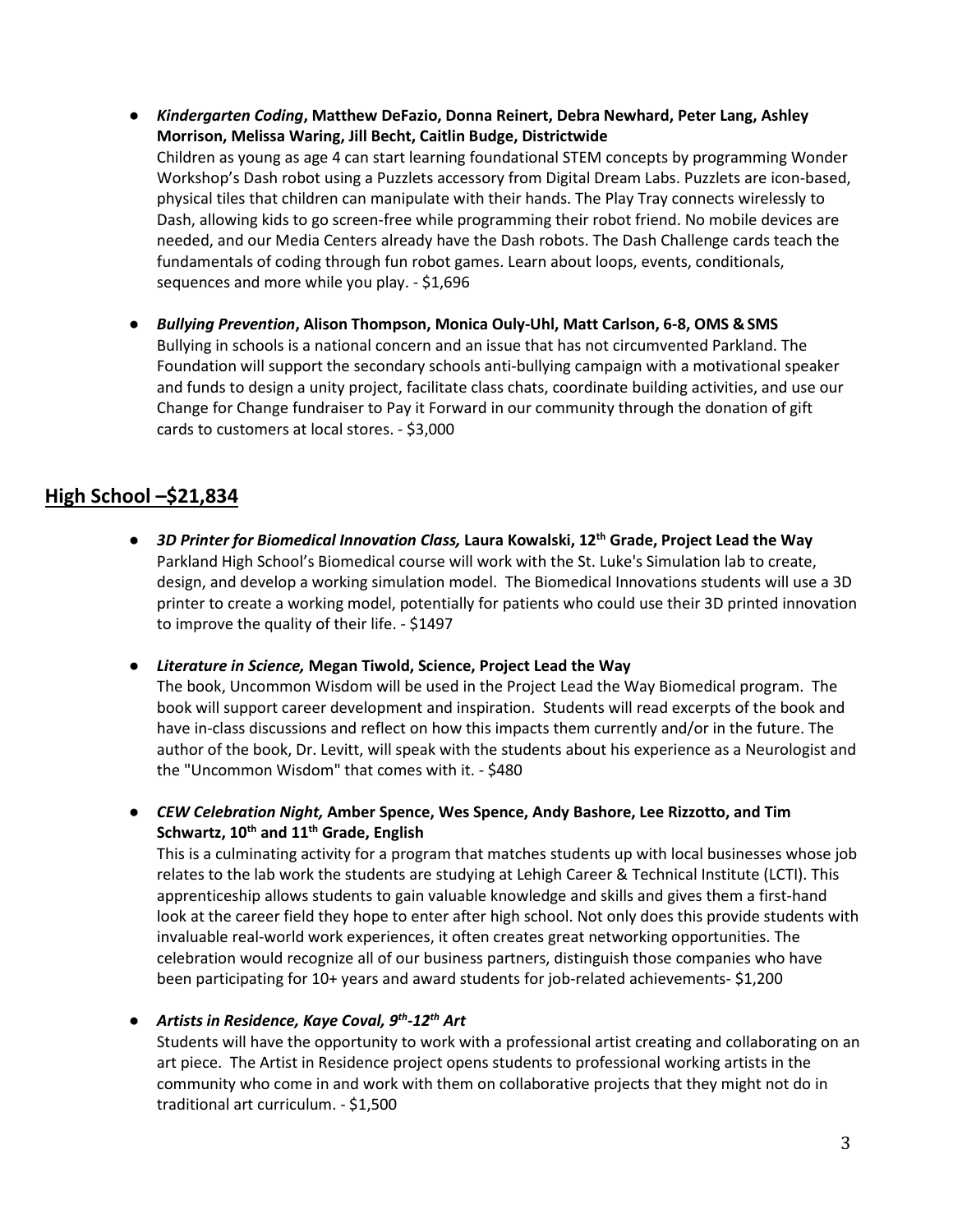- **●** *Kindergarten Coding***, Matthew DeFazio, Donna Reinert, Debra Newhard, Peter Lang, Ashley Morrison, Melissa Waring, Jill Becht, Caitlin Budge, Districtwide** Children as young as age 4 can start learning foundational STEM concepts by programming Wonder Workshop's Dash robot using a Puzzlets accessory from Digital Dream Labs. Puzzlets are icon-based, physical tiles that children can manipulate with their hands. The Play Tray connects wirelessly to Dash, allowing kids to go screen-free while programming their robot friend. No mobile devices are needed, and our Media Centers already have the Dash robots. The Dash Challenge cards teach the fundamentals of coding through fun robot games. Learn about loops, events, conditionals, sequences and more while you play. - \$1,696
- **●** *Bullying Prevention***, Alison Thompson, Monica Ouly-Uhl, Matt Carlson, 6-8, OMS & SMS** Bullying in schools is a national concern and an issue that has not circumvented Parkland. The Foundation will support the secondary schools anti-bullying campaign with a motivational speaker and funds to design a unity project, facilitate class chats, coordinate building activities, and use our Change for Change fundraiser to Pay it Forward in our community through the donation of gift cards to customers at local stores. - \$3,000

# **High School –\$21,834**

**●** *3D Printer for Biomedical Innovation Class,* **Laura Kowalski, 12th Grade, Project Lead the Way** Parkland High School's Biomedical course will work with the St. Luke's Simulation lab to create, design, and develop a working simulation model. The Biomedical Innovations students will use a 3D printer to create a working model, potentially for patients who could use their 3D printed innovation to improve the quality of their life. - \$1497

**●** *Literature in Science,* **Megan Tiwold, Science, Project Lead the Way** The book, Uncommon Wisdom will be used in the Project Lead the Way Biomedical program. The book will support career development and inspiration. Students will read excerpts of the book and have in-class discussions and reflect on how this impacts them currently and/or in the future. The author of the book, Dr. Levitt, will speak with the students about his experience as a Neurologist and the "Uncommon Wisdom" that comes with it. - \$480

**●** *CEW Celebration Night,* **Amber Spence, Wes Spence, Andy Bashore, Lee Rizzotto, and Tim Schwartz, 10th and 11th Grade, English**

This is a culminating activity for a program that matches students up with local businesses whose job relates to the lab work the students are studying at Lehigh Career & Technical Institute (LCTI). This apprenticeship allows students to gain valuable knowledge and skills and gives them a first-hand look at the career field they hope to enter after high school. Not only does this provide students with invaluable real-world work experiences, it often creates great networking opportunities. The celebration would recognize all of our business partners, distinguish those companies who have been participating for 10+ years and award students for job-related achievements- \$1,200

**●** *Artists in Residence, Kaye Coval, 9th-12th Art*

Students will have the opportunity to work with a professional artist creating and collaborating on an art piece. The Artist in Residence project opens students to professional working artists in the community who come in and work with them on collaborative projects that they might not do in traditional art curriculum. - \$1,500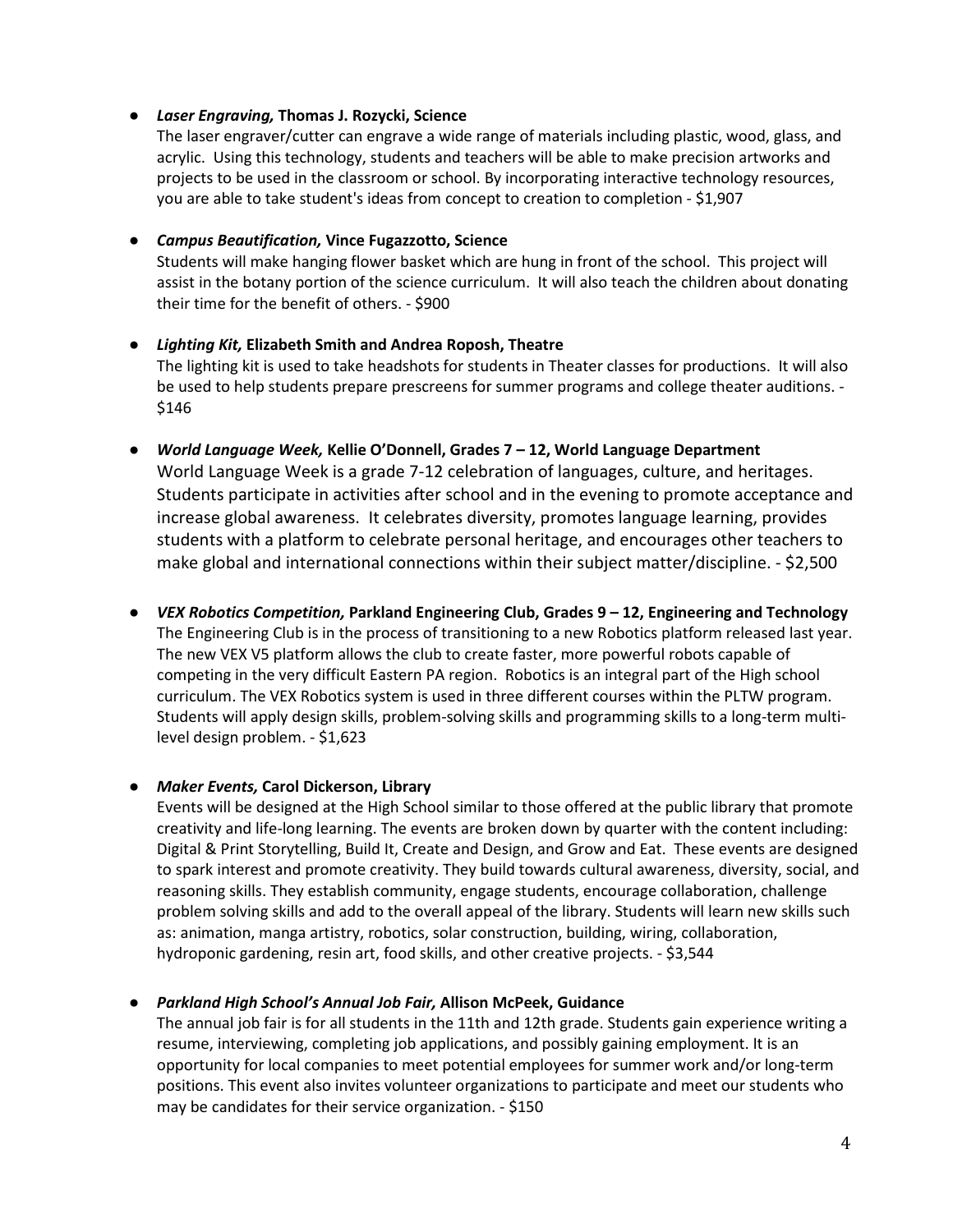### **●** *Laser Engraving,* **Thomas J. Rozycki, Science**

The laser engraver/cutter can engrave a wide range of materials including plastic, wood, glass, and acrylic. Using this technology, students and teachers will be able to make precision artworks and projects to be used in the classroom or school. By incorporating interactive technology resources, you are able to take student's ideas from concept to creation to completion - \$1,907

### **●** *Campus Beautification,* **Vince Fugazzotto, Science**

Students will make hanging flower basket which are hung in front of the school. This project will assist in the botany portion of the science curriculum. It will also teach the children about donating their time for the benefit of others. - \$900

### **●** *Lighting Kit,* **Elizabeth Smith and Andrea Roposh, Theatre** The lighting kit is used to take headshots for students in Theater classes for productions. It will also be used to help students prepare prescreens for summer programs and college theater auditions. - \$146

**●** *World Language Week,* **Kellie O'Donnell, Grades 7 – 12, World Language Department** World Language Week is a grade 7-12 celebration of languages, culture, and heritages. Students participate in activities after school and in the evening to promote acceptance and increase global awareness. It celebrates diversity, promotes language learning, provides students with a platform to celebrate personal heritage, and encourages other teachers to make global and international connections within their subject matter/discipline. - \$2,500

# **●** *VEX Robotics Competition,* **Parkland Engineering Club, Grades 9 – 12, Engineering and Technology**

The Engineering Club is in the process of transitioning to a new Robotics platform released last year. The new VEX V5 platform allows the club to create faster, more powerful robots capable of competing in the very difficult Eastern PA region. Robotics is an integral part of the High school curriculum. The VEX Robotics system is used in three different courses within the PLTW program. Students will apply design skills, problem-solving skills and programming skills to a long-term multilevel design problem. - \$1,623

# **●** *Maker Events,* **Carol Dickerson, Library**

Events will be designed at the High School similar to those offered at the public library that promote creativity and life-long learning. The events are broken down by quarter with the content including: Digital & Print Storytelling, Build It, Create and Design, and Grow and Eat. These events are designed to spark interest and promote creativity. They build towards cultural awareness, diversity, social, and reasoning skills. They establish community, engage students, encourage collaboration, challenge problem solving skills and add to the overall appeal of the library. Students will learn new skills such as: animation, manga artistry, robotics, solar construction, building, wiring, collaboration, hydroponic gardening, resin art, food skills, and other creative projects. - \$3,544

# **●** *Parkland High School's Annual Job Fair,* **Allison McPeek, Guidance**

The annual job fair is for all students in the 11th and 12th grade. Students gain experience writing a resume, interviewing, completing job applications, and possibly gaining employment. It is an opportunity for local companies to meet potential employees for summer work and/or long-term positions. This event also invites volunteer organizations to participate and meet our students who may be candidates for their service organization. - \$150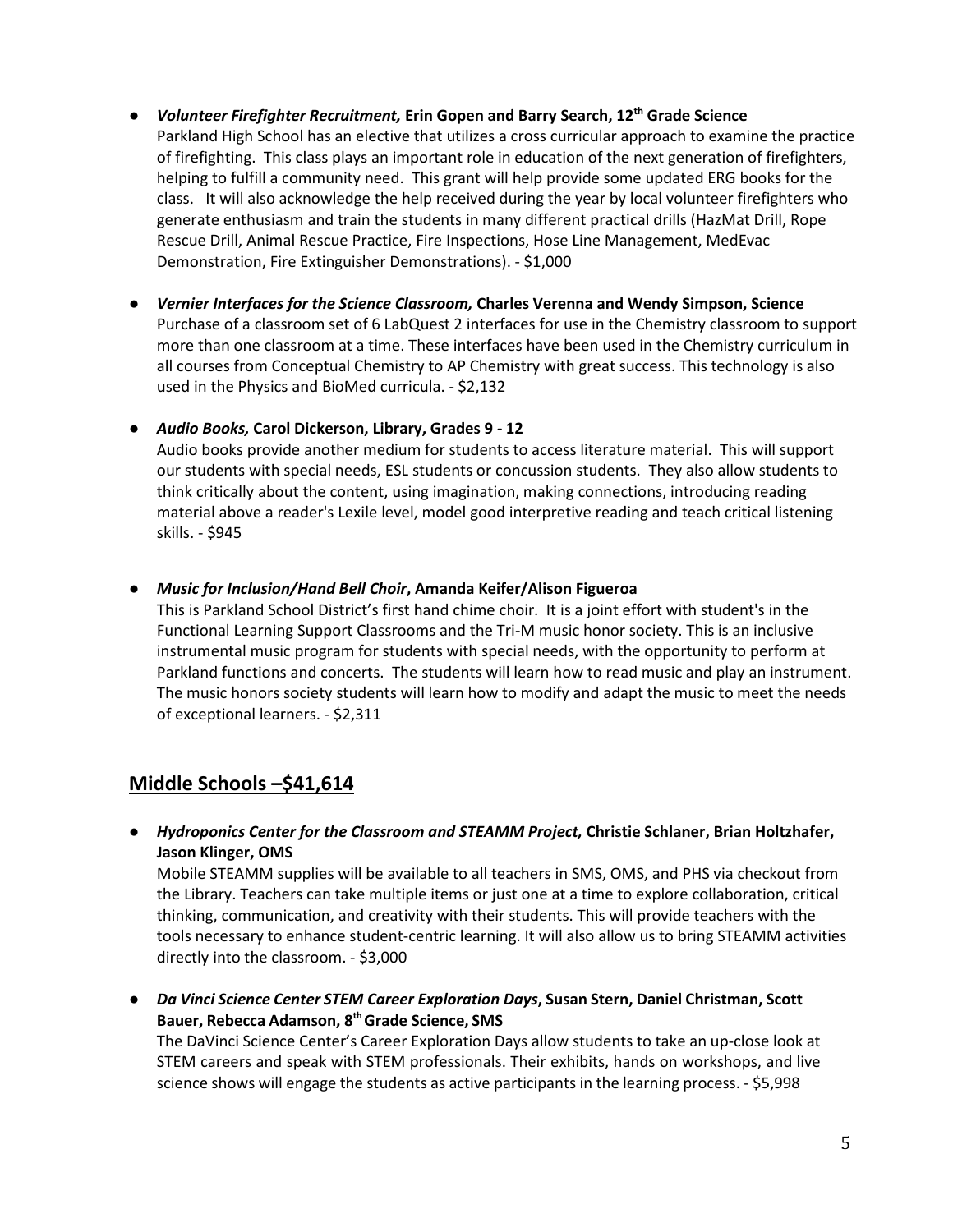- **●** *Volunteer Firefighter Recruitment,* **Erin Gopen and Barry Search, 12th Grade Science** Parkland High School has an elective that utilizes a cross curricular approach to examine the practice of firefighting. This class plays an important role in education of the next generation of firefighters, helping to fulfill a community need. This grant will help provide some updated ERG books for the class. It will also acknowledge the help received during the year by local volunteer firefighters who generate enthusiasm and train the students in many different practical drills (HazMat Drill, Rope Rescue Drill, Animal Rescue Practice, Fire Inspections, Hose Line Management, MedEvac Demonstration, Fire Extinguisher Demonstrations). - \$1,000
- **●** *Vernier Interfaces for the Science Classroom,* **Charles Verenna and Wendy Simpson, Science** Purchase of a classroom set of 6 LabQuest 2 interfaces for use in the Chemistry classroom to support more than one classroom at a time. These interfaces have been used in the Chemistry curriculum in all courses from Conceptual Chemistry to AP Chemistry with great success. This technology is also used in the Physics and BioMed curricula. - \$2,132
- **●** *Audio Books,* **Carol Dickerson, Library, Grades 9 - 12**

Audio books provide another medium for students to access literature material. This will support our students with special needs, ESL students or concussion students. They also allow students to think critically about the content, using imagination, making connections, introducing reading material above a reader's Lexile level, model good interpretive reading and teach critical listening skills. - \$945

**●** *Music for Inclusion/Hand Bell Choir***, Amanda Keifer/Alison Figueroa**

This is Parkland School District's first hand chime choir. It is a joint effort with student's in the Functional Learning Support Classrooms and the Tri-M music honor society. This is an inclusive instrumental music program for students with special needs, with the opportunity to perform at Parkland functions and concerts. The students will learn how to read music and play an instrument. The music honors society students will learn how to modify and adapt the music to meet the needs of exceptional learners. - \$2,311

# **Middle Schools –\$41,614**

**●** *Hydroponics Center for the Classroom and STEAMM Project,* **Christie Schlaner, Brian Holtzhafer, Jason Klinger, OMS**

Mobile STEAMM supplies will be available to all teachers in SMS, OMS, and PHS via checkout from the Library. Teachers can take multiple items or just one at a time to explore collaboration, critical thinking, communication, and creativity with their students. This will provide teachers with the tools necessary to enhance student-centric learning. It will also allow us to bring STEAMM activities directly into the classroom. - \$3,000

**●** *Da Vinci Science Center STEM Career Exploration Days***, Susan Stern, Daniel Christman, Scott Bauer, Rebecca Adamson, 8th Grade Science, SMS** The DaVinci Science Center's Career Exploration Days allow students to take an up-close look at

STEM careers and speak with STEM professionals. Their exhibits, hands on workshops, and live science shows will engage the students as active participants in the learning process. - \$5,998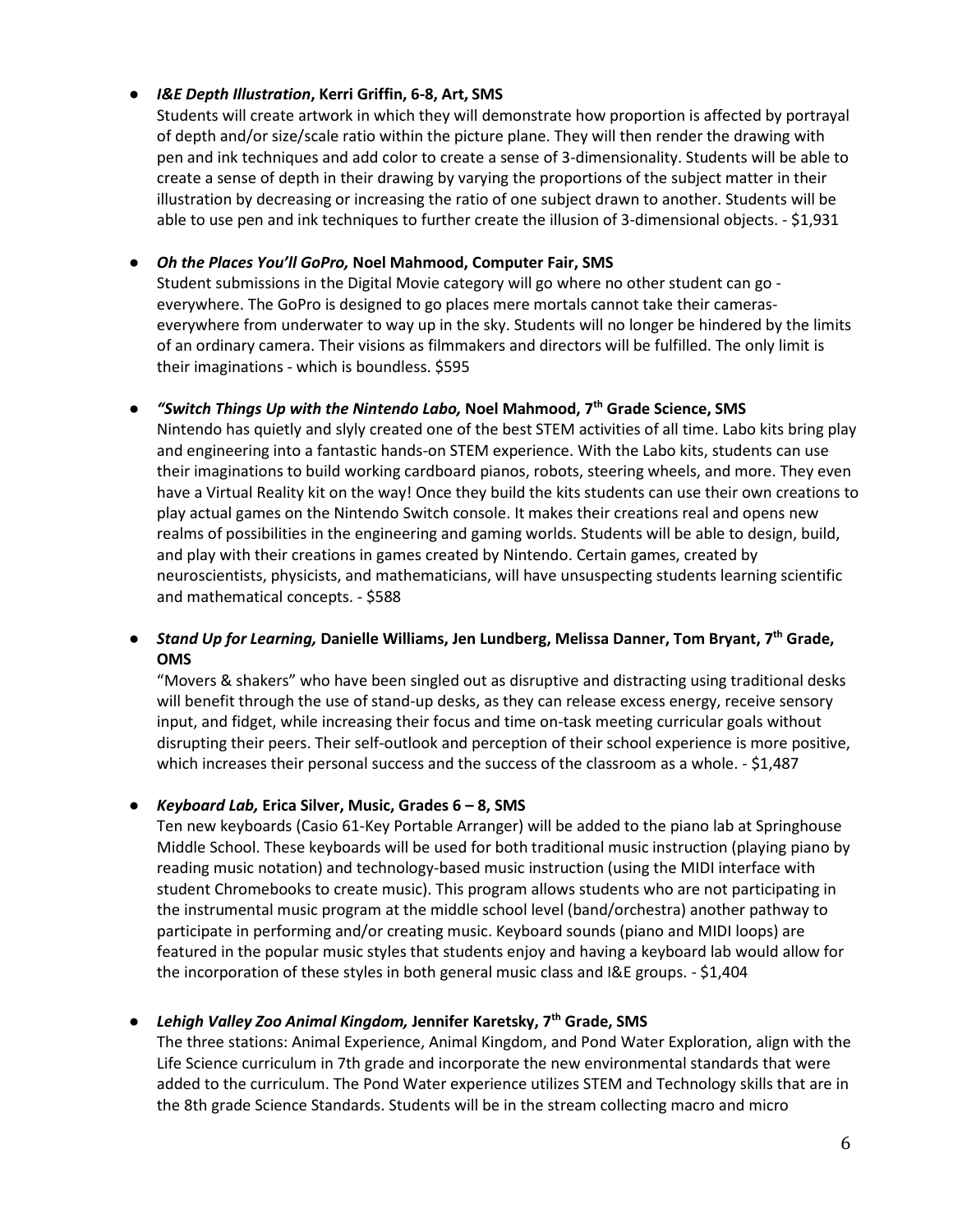# **●** *I&E Depth Illustration***, Kerri Griffin, 6-8, Art, SMS**

Students will create artwork in which they will demonstrate how proportion is affected by portrayal of depth and/or size/scale ratio within the picture plane. They will then render the drawing with pen and ink techniques and add color to create a sense of 3-dimensionality. Students will be able to create a sense of depth in their drawing by varying the proportions of the subject matter in their illustration by decreasing or increasing the ratio of one subject drawn to another. Students will be able to use pen and ink techniques to further create the illusion of 3-dimensional objects. - \$1,931

# **●** *Oh the Places You'll GoPro,* **Noel Mahmood, Computer Fair, SMS**

Student submissions in the Digital Movie category will go where no other student can go everywhere. The GoPro is designed to go places mere mortals cannot take their cameraseverywhere from underwater to way up in the sky. Students will no longer be hindered by the limits of an ordinary camera. Their visions as filmmakers and directors will be fulfilled. The only limit is their imaginations - which is boundless. \$595

### **●** *"Switch Things Up with the Nintendo Labo,* **Noel Mahmood, 7th Grade Science, SMS**

Nintendo has quietly and slyly created one of the best STEM activities of all time. Labo kits bring play and engineering into a fantastic hands-on STEM experience. With the Labo kits, students can use their imaginations to build working cardboard pianos, robots, steering wheels, and more. They even have a Virtual Reality kit on the way! Once they build the kits students can use their own creations to play actual games on the Nintendo Switch console. It makes their creations real and opens new realms of possibilities in the engineering and gaming worlds. Students will be able to design, build, and play with their creations in games created by Nintendo. Certain games, created by neuroscientists, physicists, and mathematicians, will have unsuspecting students learning scientific and mathematical concepts. - \$588

# **●** *Stand Up for Learning,* **Danielle Williams, Jen Lundberg, Melissa Danner, Tom Bryant, 7th Grade, OMS**

"Movers & shakers" who have been singled out as disruptive and distracting using traditional desks will benefit through the use of stand-up desks, as they can release excess energy, receive sensory input, and fidget, while increasing their focus and time on-task meeting curricular goals without disrupting their peers. Their self-outlook and perception of their school experience is more positive, which increases their personal success and the success of the classroom as a whole. - \$1,487

# **●** *Keyboard Lab,* **Erica Silver, Music, Grades 6 – 8, SMS**

Ten new keyboards (Casio 61-Key Portable Arranger) will be added to the piano lab at Springhouse Middle School. These keyboards will be used for both traditional music instruction (playing piano by reading music notation) and technology-based music instruction (using the MIDI interface with student Chromebooks to create music). This program allows students who are not participating in the instrumental music program at the middle school level (band/orchestra) another pathway to participate in performing and/or creating music. Keyboard sounds (piano and MIDI loops) are featured in the popular music styles that students enjoy and having a keyboard lab would allow for the incorporation of these styles in both general music class and I&E groups. - \$1,404

# **●** *Lehigh Valley Zoo Animal Kingdom,* **Jennifer Karetsky, 7th Grade, SMS**

The three stations: Animal Experience, Animal Kingdom, and Pond Water Exploration, align with the Life Science curriculum in 7th grade and incorporate the new environmental standards that were added to the curriculum. The Pond Water experience utilizes STEM and Technology skills that are in the 8th grade Science Standards. Students will be in the stream collecting macro and micro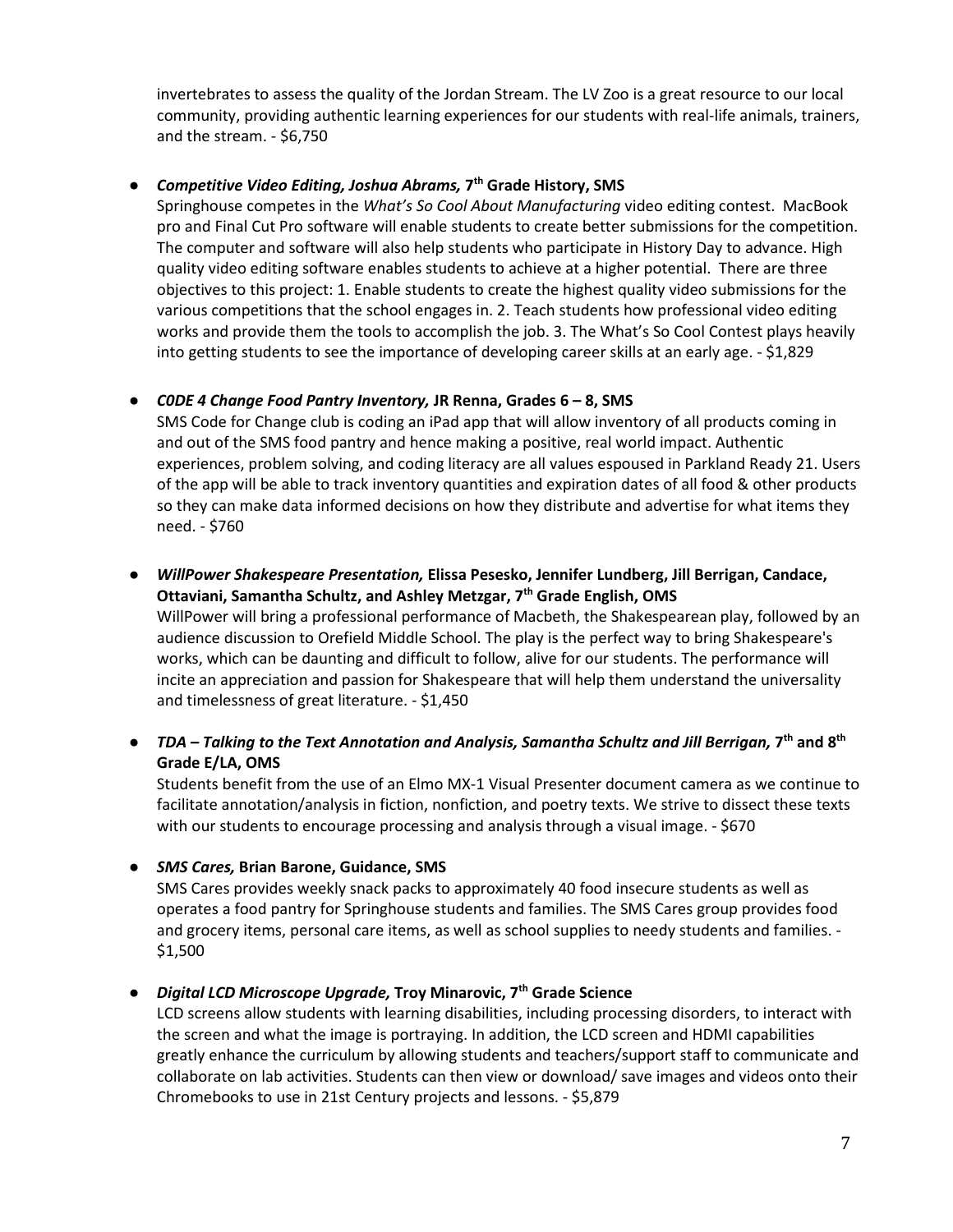invertebrates to assess the quality of the Jordan Stream. The LV Zoo is a great resource to our local community, providing authentic learning experiences for our students with real-life animals, trainers, and the stream. - \$6,750

#### **●** *Competitive Video Editing, Joshua Abrams,* **7th Grade History, SMS**

Springhouse competes in the *What's So Cool About Manufacturing* video editing contest. MacBook pro and Final Cut Pro software will enable students to create better submissions for the competition. The computer and software will also help students who participate in History Day to advance. High quality video editing software enables students to achieve at a higher potential. There are three objectives to this project: 1. Enable students to create the highest quality video submissions for the various competitions that the school engages in. 2. Teach students how professional video editing works and provide them the tools to accomplish the job. 3. The What's So Cool Contest plays heavily into getting students to see the importance of developing career skills at an early age. - \$1,829

### **●** *C0DE 4 Change Food Pantry Inventory,* **JR Renna, Grades 6 – 8, SMS**

SMS Code for Change club is coding an iPad app that will allow inventory of all products coming in and out of the SMS food pantry and hence making a positive, real world impact. Authentic experiences, problem solving, and coding literacy are all values espoused in Parkland Ready 21. Users of the app will be able to track inventory quantities and expiration dates of all food & other products so they can make data informed decisions on how they distribute and advertise for what items they need. - \$760

- **●** *WillPower Shakespeare Presentation,* **Elissa Pesesko, Jennifer Lundberg, Jill Berrigan, Candace, Ottaviani, Samantha Schultz, and Ashley Metzgar, 7th Grade English, OMS** WillPower will bring a professional performance of Macbeth, the Shakespearean play, followed by an audience discussion to Orefield Middle School. The play is the perfect way to bring Shakespeare's works, which can be daunting and difficult to follow, alive for our students. The performance will incite an appreciation and passion for Shakespeare that will help them understand the universality and timelessness of great literature. - \$1,450
- **●** *TDA – Talking to the Text Annotation and Analysis, Samantha Schultz and Jill Berrigan,* **7th and 8th Grade E/LA, OMS**

Students benefit from the use of an Elmo MX-1 Visual Presenter document camera as we continue to facilitate annotation/analysis in fiction, nonfiction, and poetry texts. We strive to dissect these texts with our students to encourage processing and analysis through a visual image. - \$670

**●** *SMS Cares,* **Brian Barone, Guidance, SMS**

SMS Cares provides weekly snack packs to approximately 40 food insecure students as well as operates a food pantry for Springhouse students and families. The SMS Cares group provides food and grocery items, personal care items, as well as school supplies to needy students and families. - \$1,500

# **●** *Digital LCD Microscope Upgrade,* **Troy Minarovic, 7th Grade Science**

LCD screens allow students with learning disabilities, including processing disorders, to interact with the screen and what the image is portraying. In addition, the LCD screen and HDMI capabilities greatly enhance the curriculum by allowing students and teachers/support staff to communicate and collaborate on lab activities. Students can then view or download/ save images and videos onto their Chromebooks to use in 21st Century projects and lessons. - \$5,879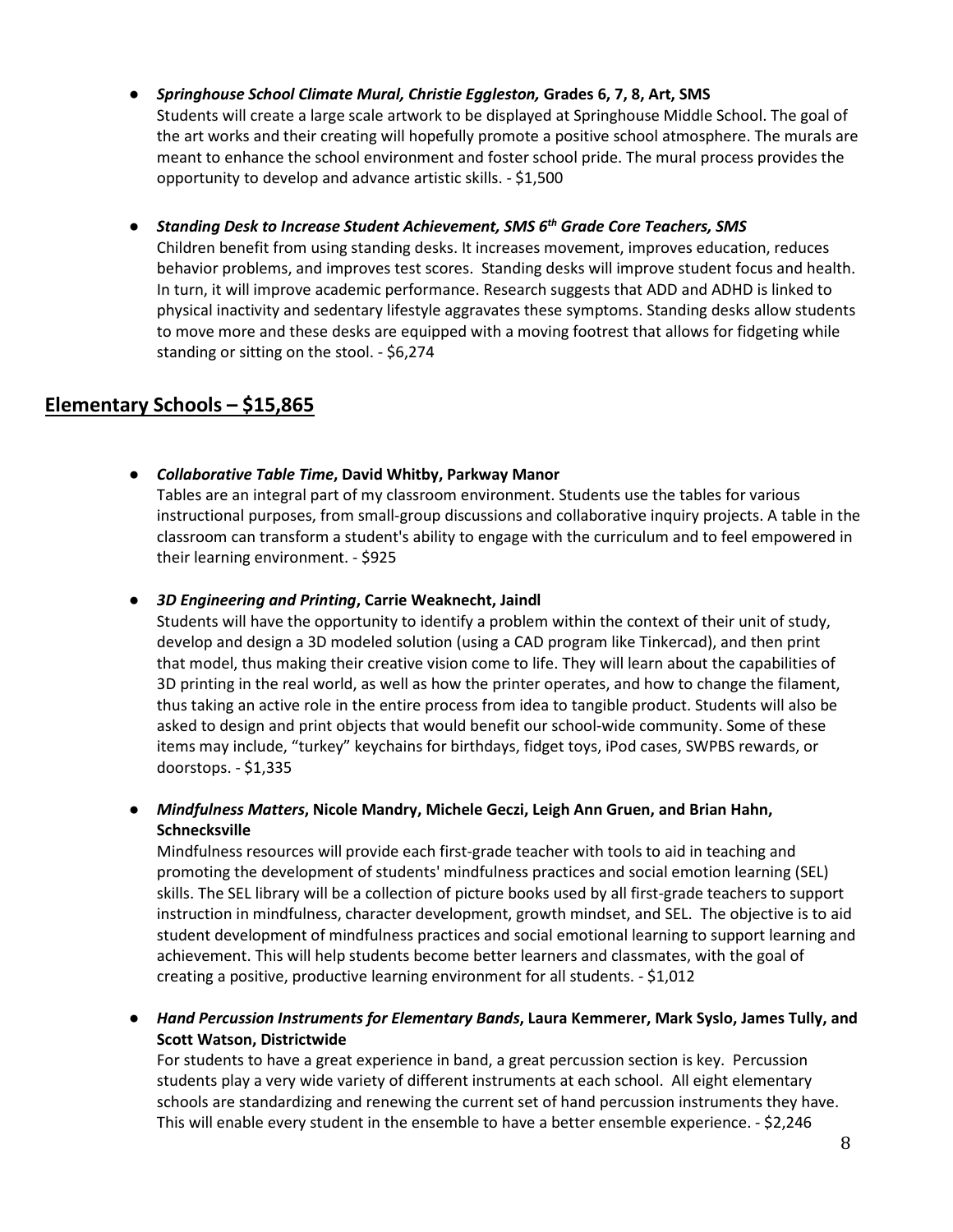- **●** *Springhouse School Climate Mural, Christie Eggleston,* **Grades 6, 7, 8, Art, SMS** Students will create a large scale artwork to be displayed at Springhouse Middle School. The goal of the art works and their creating will hopefully promote a positive school atmosphere. The murals are meant to enhance the school environment and foster school pride. The mural process provides the opportunity to develop and advance artistic skills. - \$1,500
- **●** *Standing Desk to Increase Student Achievement, SMS 6th Grade Core Teachers, SMS* Children benefit from using standing desks. It increases movement, improves education, reduces behavior problems, and improves test scores. Standing desks will improve student focus and health. In turn, it will improve academic performance. Research suggests that ADD and ADHD is linked to physical inactivity and sedentary lifestyle aggravates these symptoms. Standing desks allow students to move more and these desks are equipped with a moving footrest that allows for fidgeting while standing or sitting on the stool. - \$6,274

# **Elementary Schools – \$15,865**

- **●** *Collaborative Table Time***, David Whitby, Parkway Manor** Tables are an integral part of my classroom environment. Students use the tables for various instructional purposes, from small-group discussions and collaborative inquiry projects. A table in the classroom can transform a student's ability to engage with the curriculum and to feel empowered in their learning environment. - \$925
- **●** *3D Engineering and Printing***, Carrie Weaknecht, Jaindl**

Students will have the opportunity to identify a problem within the context of their unit of study, develop and design a 3D modeled solution (using a CAD program like Tinkercad), and then print that model, thus making their creative vision come to life. They will learn about the capabilities of 3D printing in the real world, as well as how the printer operates, and how to change the filament, thus taking an active role in the entire process from idea to tangible product. Students will also be asked to design and print objects that would benefit our school-wide community. Some of these items may include, "turkey" keychains for birthdays, fidget toys, iPod cases, SWPBS rewards, or doorstops. - \$1,335

**●** *Mindfulness Matters***, Nicole Mandry, Michele Geczi, Leigh Ann Gruen, and Brian Hahn, Schnecksville**

Mindfulness resources will provide each first-grade teacher with tools to aid in teaching and promoting the development of students' mindfulness practices and social emotion learning (SEL) skills. The SEL library will be a collection of picture books used by all first-grade teachers to support instruction in mindfulness, character development, growth mindset, and SEL. The objective is to aid student development of mindfulness practices and social emotional learning to support learning and achievement. This will help students become better learners and classmates, with the goal of creating a positive, productive learning environment for all students. - \$1,012

**●** *Hand Percussion Instruments for Elementary Bands***, Laura Kemmerer, Mark Syslo, James Tully, and Scott Watson, Districtwide**

For students to have a great experience in band, a great percussion section is key. Percussion students play a very wide variety of different instruments at each school. All eight elementary schools are standardizing and renewing the current set of hand percussion instruments they have. This will enable every student in the ensemble to have a better ensemble experience. - \$2,246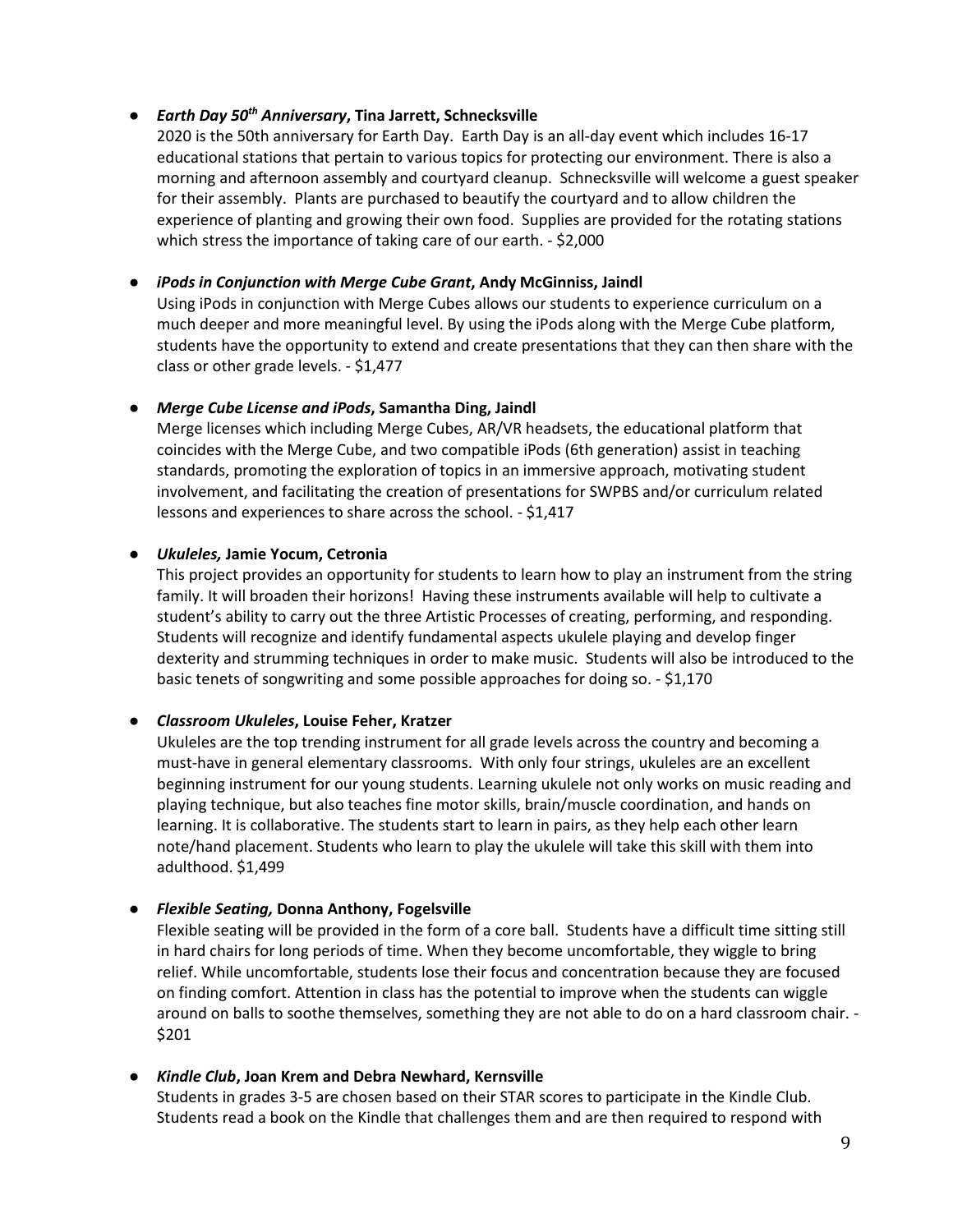### **●** *Earth Day 50th Anniversary***, Tina Jarrett, Schnecksville**

2020 is the 50th anniversary for Earth Day. Earth Day is an all-day event which includes 16-17 educational stations that pertain to various topics for protecting our environment. There is also a morning and afternoon assembly and courtyard cleanup. Schnecksville will welcome a guest speaker for their assembly. Plants are purchased to beautify the courtyard and to allow children the experience of planting and growing their own food. Supplies are provided for the rotating stations which stress the importance of taking care of our earth. - \$2,000

### **●** *iPods in Conjunction with Merge Cube Grant***, Andy McGinniss, Jaindl**

Using iPods in conjunction with Merge Cubes allows our students to experience curriculum on a much deeper and more meaningful level. By using the iPods along with the Merge Cube platform, students have the opportunity to extend and create presentations that they can then share with the class or other grade levels. - \$1,477

### **●** *Merge Cube License and iPods***, Samantha Ding, Jaindl**

Merge licenses which including Merge Cubes, AR/VR headsets, the educational platform that coincides with the Merge Cube, and two compatible iPods (6th generation) assist in teaching standards, promoting the exploration of topics in an immersive approach, motivating student involvement, and facilitating the creation of presentations for SWPBS and/or curriculum related lessons and experiences to share across the school. - \$1,417

### **●** *Ukuleles,* **Jamie Yocum, Cetronia**

This project provides an opportunity for students to learn how to play an instrument from the string family. It will broaden their horizons! Having these instruments available will help to cultivate a student's ability to carry out the three Artistic Processes of creating, performing, and responding. Students will recognize and identify fundamental aspects ukulele playing and develop finger dexterity and strumming techniques in order to make music. Students will also be introduced to the basic tenets of songwriting and some possible approaches for doing so. - \$1,170

# **●** *Classroom Ukuleles***, Louise Feher, Kratzer**

Ukuleles are the top trending instrument for all grade levels across the country and becoming a must-have in general elementary classrooms. With only four strings, ukuleles are an excellent beginning instrument for our young students. Learning ukulele not only works on music reading and playing technique, but also teaches fine motor skills, brain/muscle coordination, and hands on learning. It is collaborative. The students start to learn in pairs, as they help each other learn note/hand placement. Students who learn to play the ukulele will take this skill with them into adulthood. \$1,499

# **●** *Flexible Seating,* **Donna Anthony, Fogelsville**

Flexible seating will be provided in the form of a core ball. Students have a difficult time sitting still in hard chairs for long periods of time. When they become uncomfortable, they wiggle to bring relief. While uncomfortable, students lose their focus and concentration because they are focused on finding comfort. Attention in class has the potential to improve when the students can wiggle around on balls to soothe themselves, something they are not able to do on a hard classroom chair. - \$201

#### **●** *Kindle Club***, Joan Krem and Debra Newhard, Kernsville**

Students in grades 3-5 are chosen based on their STAR scores to participate in the Kindle Club. Students read a book on the Kindle that challenges them and are then required to respond with